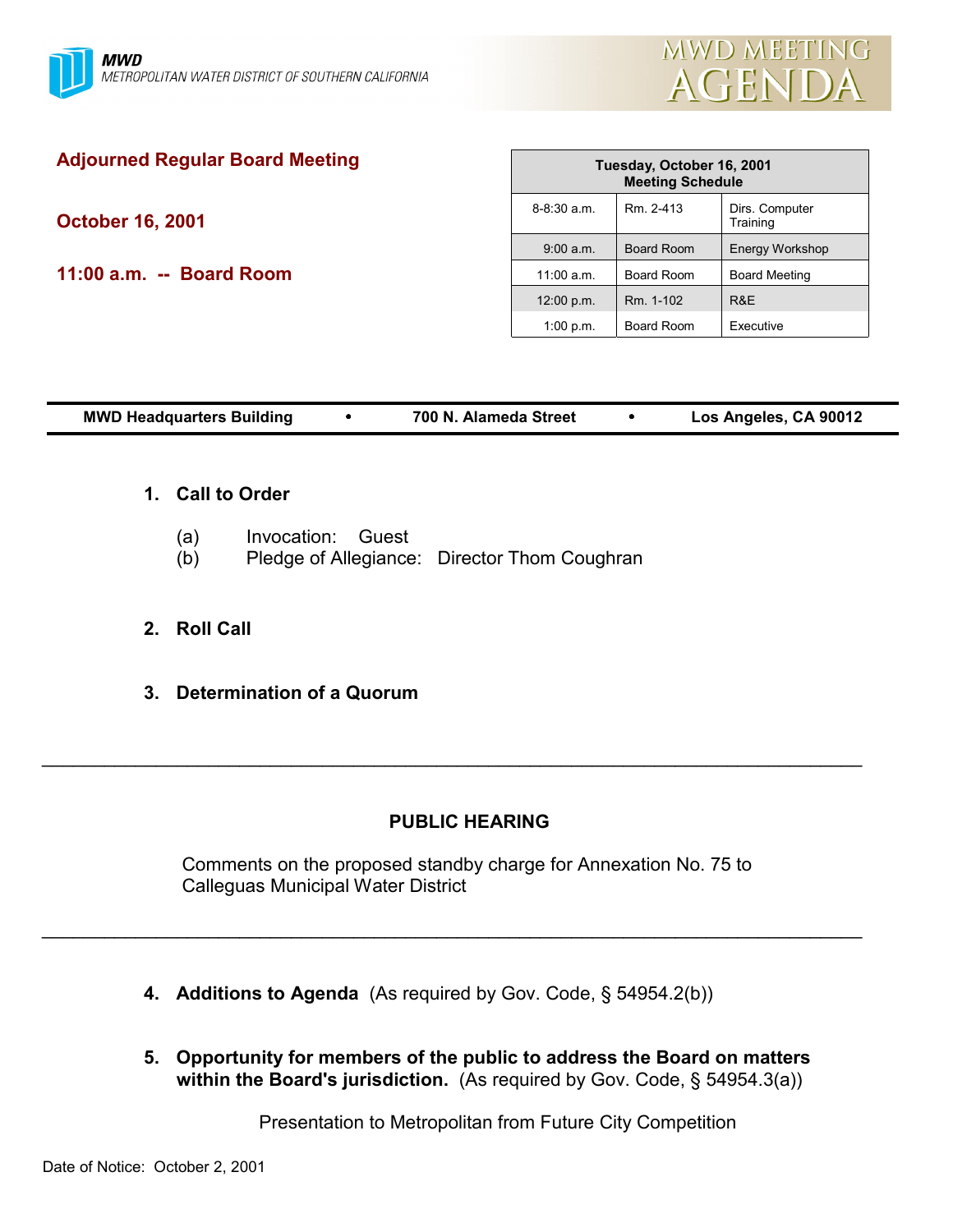

| Tuesday, October 16, 2001<br><b>Meeting Schedule</b> |            |                            |
|------------------------------------------------------|------------|----------------------------|
| $8 - 8:30$ a.m.                                      | Rm. 2-413  | Dirs. Computer<br>Training |
| 9:00 a.m.                                            | Board Room | <b>Energy Workshop</b>     |
| $11:00$ a.m.                                         | Board Room | <b>Board Meeting</b>       |
| 12:00 p.m.                                           | Rm. 1-102  | R&E                        |
| 1:00 p.m.                                            | Board Room | Executive                  |
|                                                      |            |                            |
|                                                      |            |                            |

| <b>MWD Headquarters Building</b> | 700 N. Alameda Street | Los Angeles, CA 90012 |
|----------------------------------|-----------------------|-----------------------|
|                                  |                       |                       |

# **1. Call to Order**

- (a) Invocation: Guest
- (b) Pledge of Allegiance: Director Thom Coughran

# **2. Roll Call**

**3. Determination of a Quorum**

# **PUBLIC HEARING**

 $\_$ 

Comments on the proposed standby charge for Annexation No. 75 to Calleguas Municipal Water District

 $\_$ 

- **4. Additions to Agenda** (As required by Gov. Code, ß 54954.2(b))
- **5. Opportunity for members of the public to address the Board on matters** within the Board's jurisdiction. (As required by Gov. Code, § 54954.3(a))

Presentation to Metropolitan from Future City Competition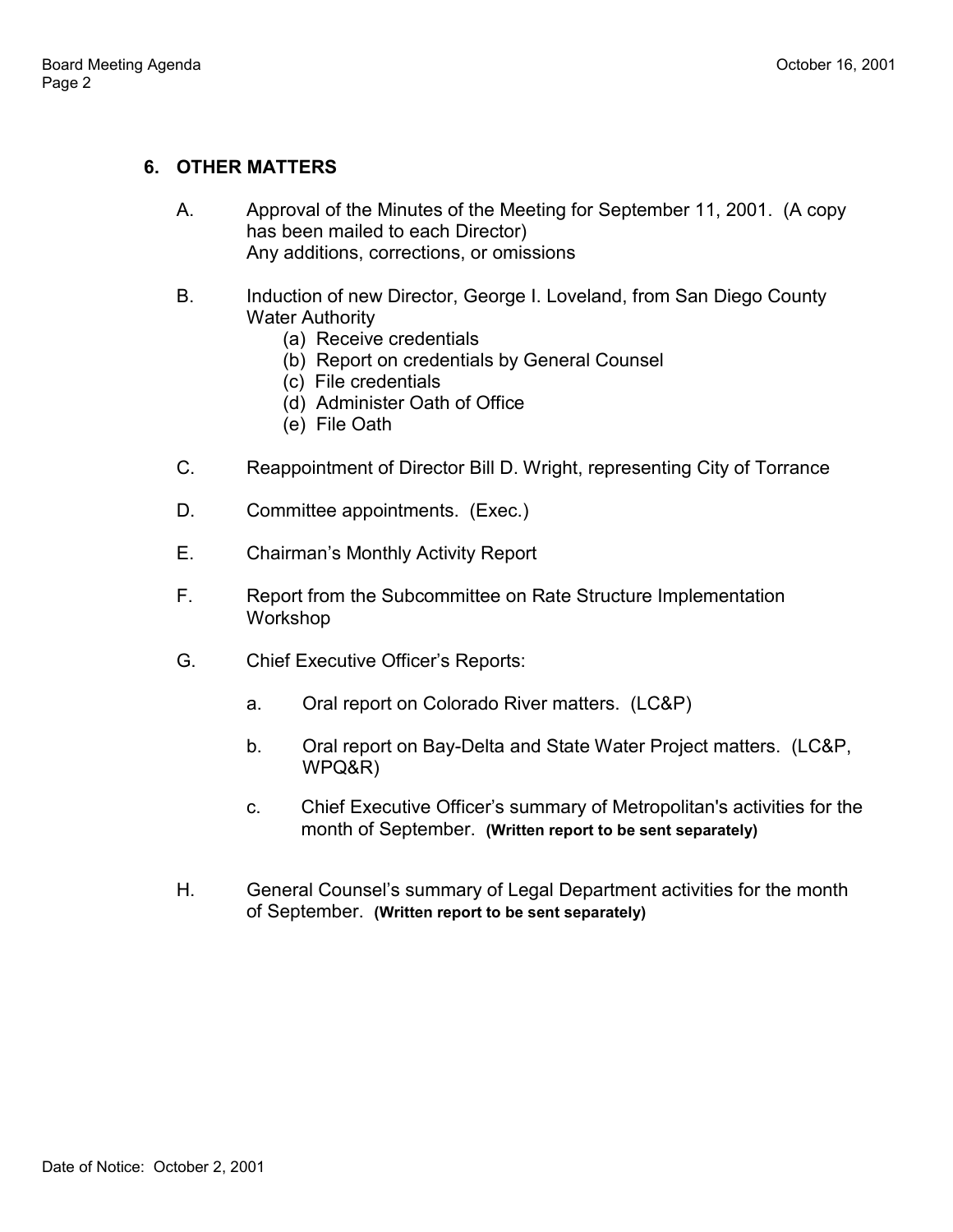# **6. OTHER MATTERS**

- A. Approval of the Minutes of the Meeting for September 11, 2001. (A copy has been mailed to each Director) Any additions, corrections, or omissions
- B. Induction of new Director, George I. Loveland, from San Diego County Water Authority
	- (a) Receive credentials
	- (b) Report on credentials by General Counsel
	- (c) File credentials
	- (d) Administer Oath of Office
	- (e) File Oath
- C. Reappointment of Director Bill D. Wright, representing City of Torrance
- D. Committee appointments. (Exec.)
- E. Chairman's Monthly Activity Report
- F. Report from the Subcommittee on Rate Structure Implementation Workshop
- G. Chief Executive Officerís Reports:
	- a. Oral report on Colorado River matters. (LC&P)
	- b. Oral report on Bay-Delta and State Water Project matters. (LC&P, WPQ&R)
	- c. Chief Executive Officerís summary of Metropolitan's activities for the month of September. **(Written report to be sent separately)**
- H. General Counsel's summary of Legal Department activities for the month of September. **(Written report to be sent separately)**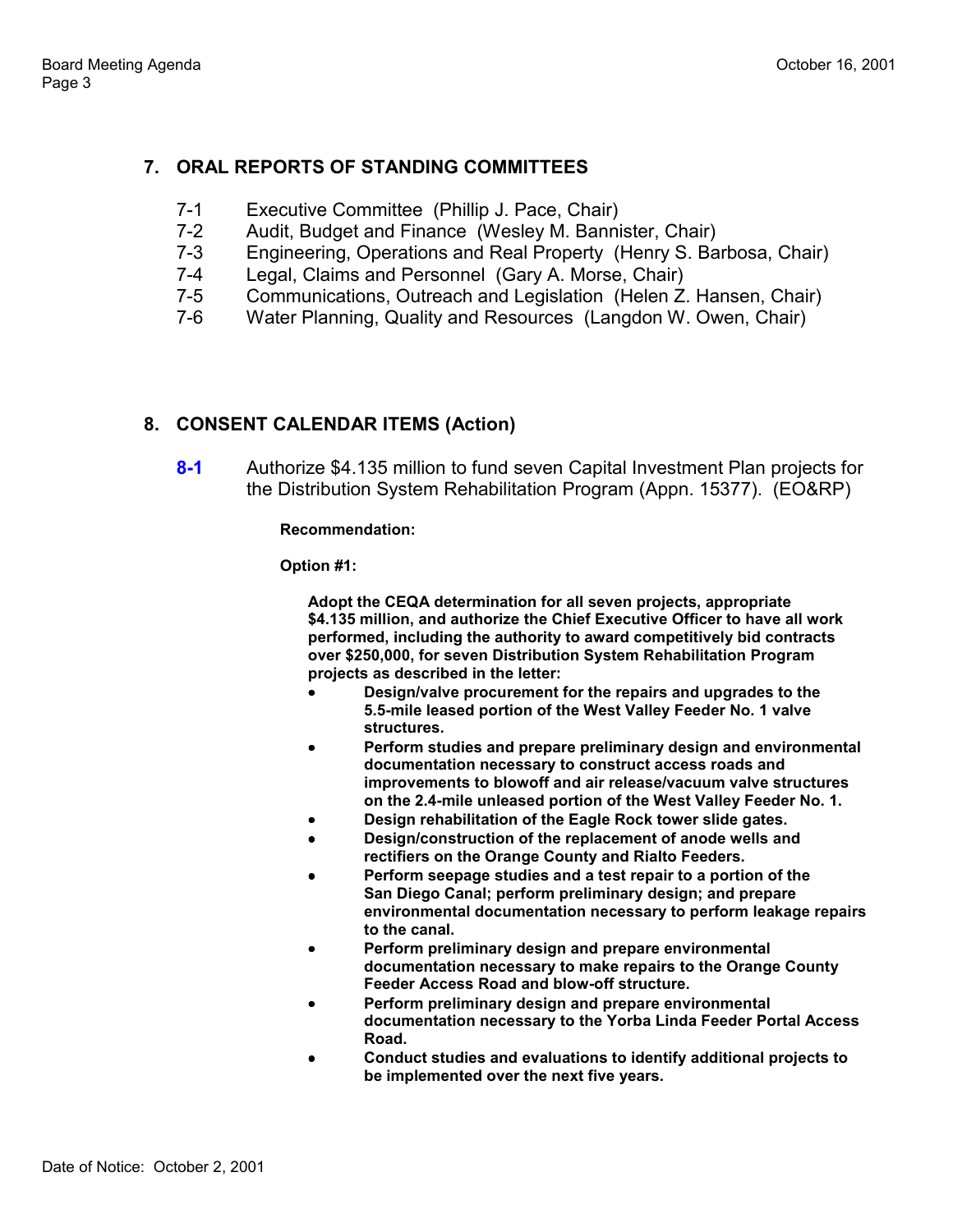# **7. ORAL REPORTS OF STANDING COMMITTEES**

- 7-1 Executive Committee (Phillip J. Pace, Chair)
- 7-2 Audit, Budget and Finance (Wesley M. Bannister, Chair)
- 7-3 Engineering, Operations and Real Property (Henry S. Barbosa, Chair)
- 7-4 Legal, Claims and Personnel (Gary A. Morse, Chair)
- 7-5 Communications, Outreach and Legislation (Helen Z. Hansen, Chair)
- 7-6 Water Planning, Quality and Resources (Langdon W. Owen, Chair)

# **8. CONSENT CALENDAR ITEMS (Action)**

**8-1** Authorize \$4.135 million to fund seven Capital Investment Plan projects for the Distribution System Rehabilitation Program (Appn. 15377). (EO&RP)

**Recommendation:**

**Option #1:**

**Adopt the CEQA determination for all seven projects, appropriate \$4.135 million, and authorize the Chief Executive Officer to have all work performed, including the authority to award competitively bid contracts over \$250,000, for seven Distribution System Rehabilitation Program projects as described in the letter:**

- **Design/valve procurement for the repairs and upgrades to the 5.5-mile leased portion of the West Valley Feeder No. 1 valve structures.**
- **Perform studies and prepare preliminary design and environmental documentation necessary to construct access roads and improvements to blowoff and air release/vacuum valve structures on the 2.4-mile unleased portion of the West Valley Feeder No. 1.**
- **Design rehabilitation of the Eagle Rock tower slide gates.**
- **Design/construction of the replacement of anode wells and rectifiers on the Orange County and Rialto Feeders.**
- **Perform seepage studies and a test repair to a portion of the San Diego Canal; perform preliminary design; and prepare environmental documentation necessary to perform leakage repairs to the canal.**
- **Perform preliminary design and prepare environmental documentation necessary to make repairs to the Orange County Feeder Access Road and blow-off structure.**
- **Perform preliminary design and prepare environmental documentation necessary to the Yorba Linda Feeder Portal Access Road.**
- **Conduct studies and evaluations to identify additional projects to be implemented over the next five years.**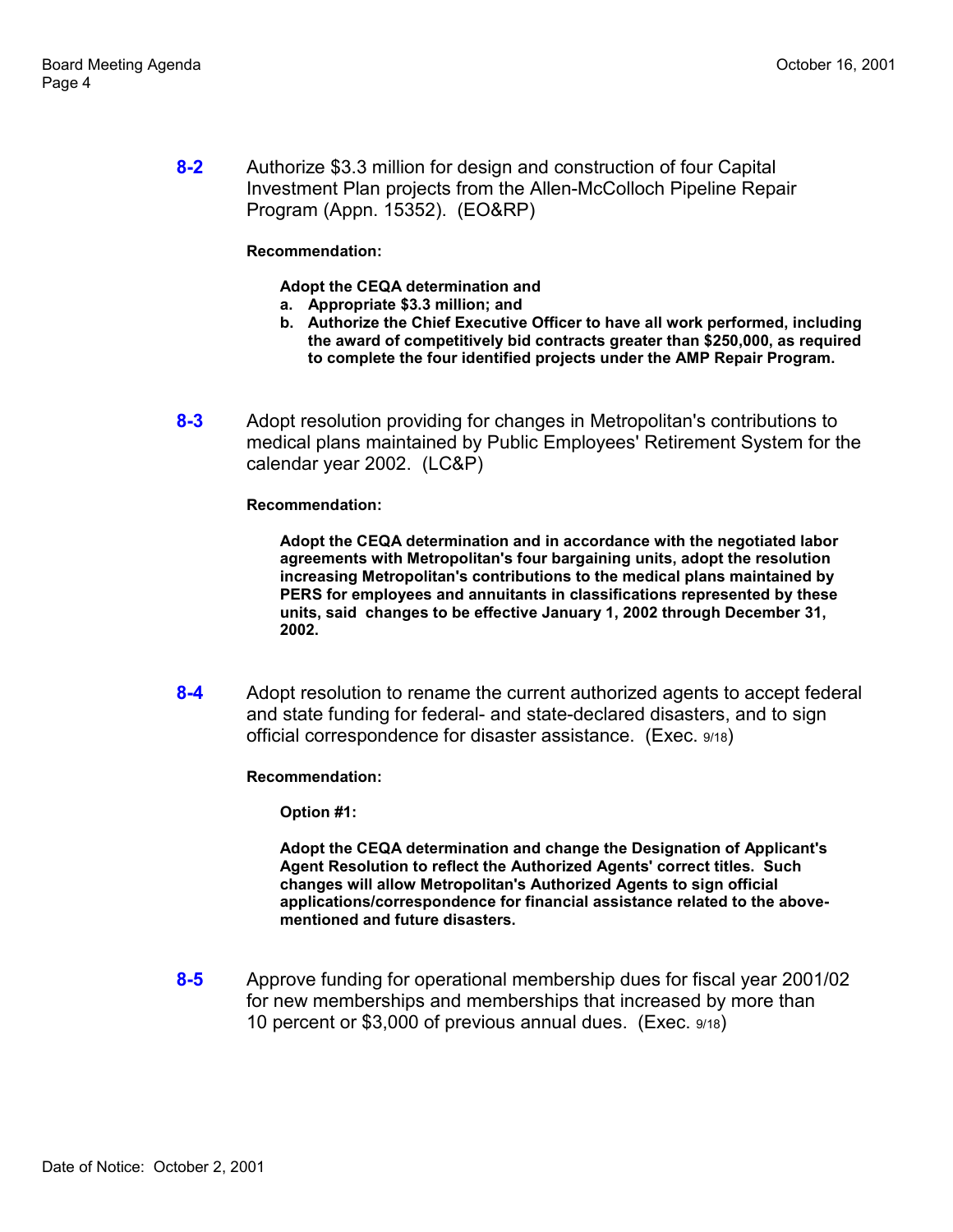**8-2** Authorize \$3.3 million for design and construction of four Capital Investment Plan projects from the Allen-McColloch Pipeline Repair Program (Appn. 15352). (EO&RP)

### **Recommendation:**

#### **Adopt the CEQA determination and**

- **a. Appropriate \$3.3 million; and**
- **b. Authorize the Chief Executive Officer to have all work performed, including the award of competitively bid contracts greater than \$250,000, as required to complete the four identified projects under the AMP Repair Program.**
- **8-3** Adopt resolution providing for changes in Metropolitan's contributions to medical plans maintained by Public Employees' Retirement System for the calendar year 2002. (LC&P)

**Recommendation:**

**Adopt the CEQA determination and in accordance with the negotiated labor agreements with Metropolitan's four bargaining units, adopt the resolution increasing Metropolitan's contributions to the medical plans maintained by PERS for employees and annuitants in classifications represented by these units, said changes to be effective January 1, 2002 through December 31, 2002.**

**8-4** Adopt resolution to rename the current authorized agents to accept federal and state funding for federal- and state-declared disasters, and to sign official correspondence for disaster assistance. (Exec. 9/18)

**Recommendation:**

**Option #1:**

**Adopt the CEQA determination and change the Designation of Applicant's Agent Resolution to reflect the Authorized Agents' correct titles. Such changes will allow Metropolitan's Authorized Agents to sign official applications/correspondence for financial assistance related to the abovementioned and future disasters.**

**8-5** Approve funding for operational membership dues for fiscal year 2001/02 for new memberships and memberships that increased by more than 10 percent or \$3,000 of previous annual dues. (Exec. 9/18)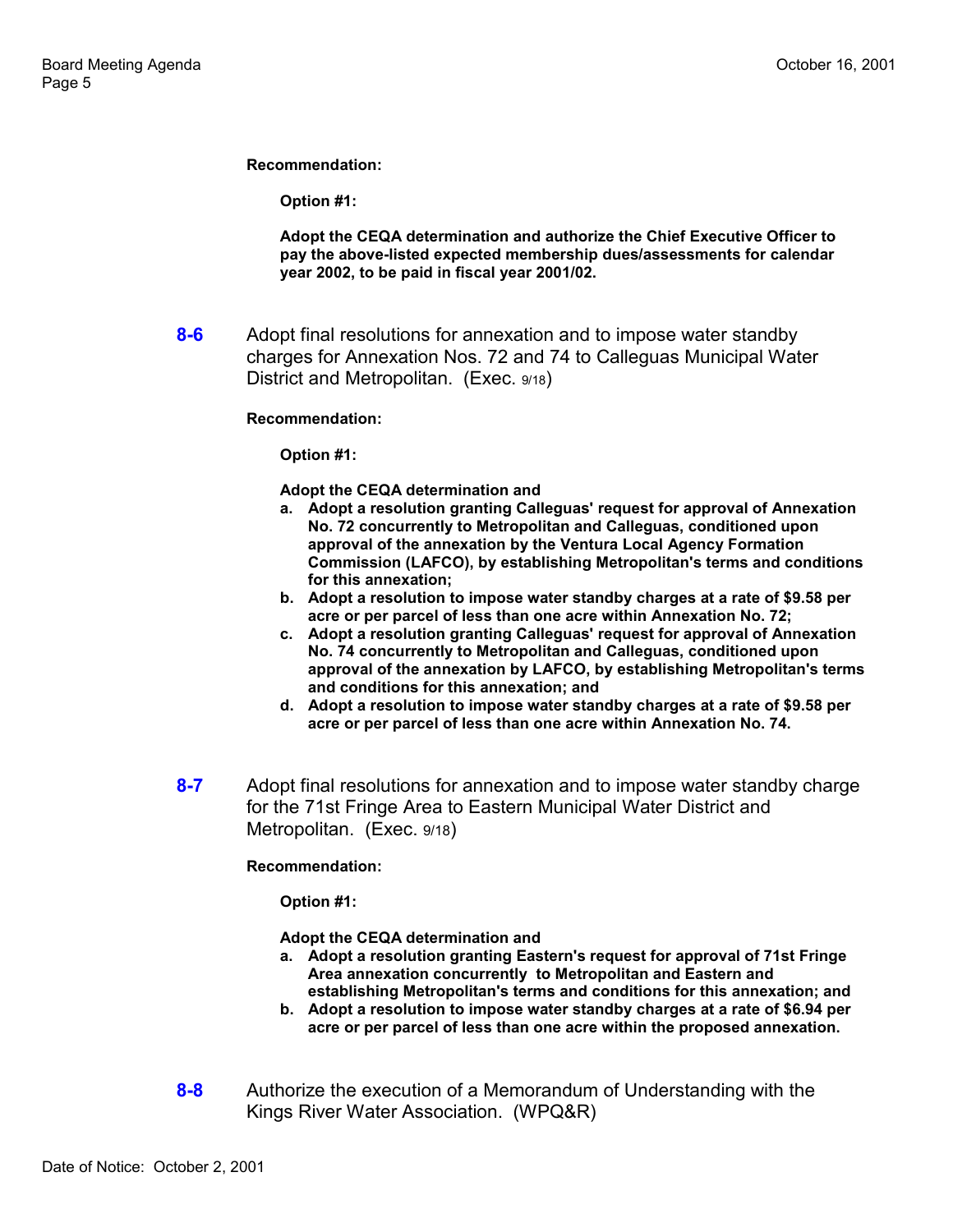**Recommendation:**

**Option #1:**

**Adopt the CEQA determination and authorize the Chief Executive Officer to pay the above-listed expected membership dues/assessments for calendar year 2002, to be paid in fiscal year 2001/02.**

**8-6** Adopt final resolutions for annexation and to impose water standby charges for Annexation Nos. 72 and 74 to Calleguas Municipal Water District and Metropolitan. (Exec. 9/18)

#### **Recommendation:**

**Option #1:**

#### **Adopt the CEQA determination and**

- **a. Adopt a resolution granting Calleguas' request for approval of Annexation No. 72 concurrently to Metropolitan and Calleguas, conditioned upon approval of the annexation by the Ventura Local Agency Formation Commission (LAFCO), by establishing Metropolitan's terms and conditions for this annexation;**
- **b. Adopt a resolution to impose water standby charges at a rate of \$9.58 per acre or per parcel of less than one acre within Annexation No. 72;**
- **c. Adopt a resolution granting Calleguas' request for approval of Annexation No. 74 concurrently to Metropolitan and Calleguas, conditioned upon approval of the annexation by LAFCO, by establishing Metropolitan's terms and conditions for this annexation; and**
- **d. Adopt a resolution to impose water standby charges at a rate of \$9.58 per acre or per parcel of less than one acre within Annexation No. 74.**
- **8-7** Adopt final resolutions for annexation and to impose water standby charge for the 71st Fringe Area to Eastern Municipal Water District and Metropolitan. (Exec. 9/18)

### **Recommendation:**

**Option #1:**

**Adopt the CEQA determination and**

- **a. Adopt a resolution granting Eastern's request for approval of 71st Fringe Area annexation concurrently to Metropolitan and Eastern and establishing Metropolitan's terms and conditions for this annexation; and**
- **b. Adopt a resolution to impose water standby charges at a rate of \$6.94 per acre or per parcel of less than one acre within the proposed annexation.**
- **8-8** Authorize the execution of a Memorandum of Understanding with the Kings River Water Association. (WPQ&R)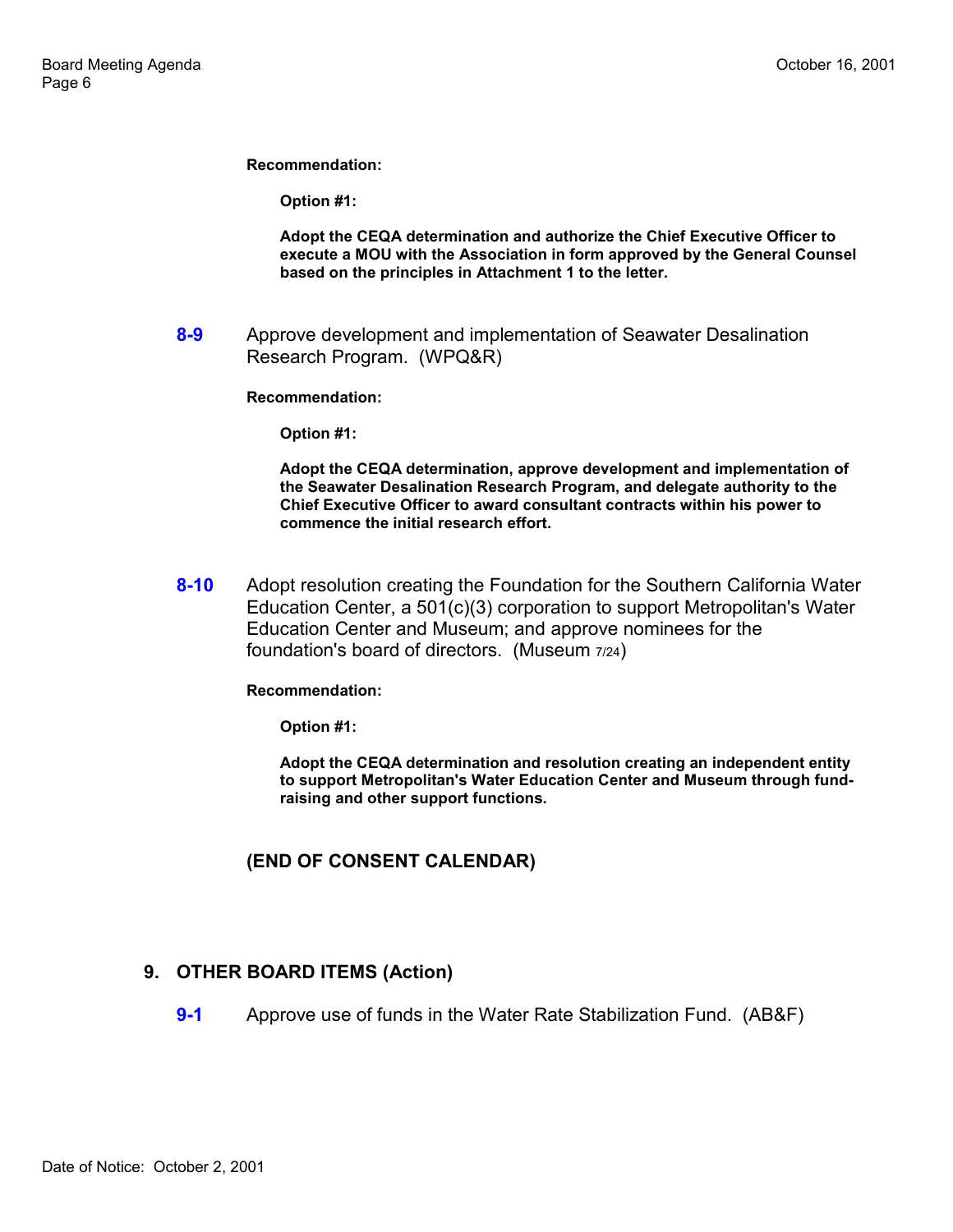**Recommendation:**

**Option #1:**

**Adopt the CEQA determination and authorize the Chief Executive Officer to execute a MOU with the Association in form approved by the General Counsel based on the principles in Attachment 1 to the letter.**

**8-9** Approve development and implementation of Seawater Desalination Research Program. (WPQ&R)

**Recommendation:**

**Option #1:**

**Adopt the CEQA determination, approve development and implementation of the Seawater Desalination Research Program, and delegate authority to the Chief Executive Officer to award consultant contracts within his power to commence the initial research effort.**

**8-10** Adopt resolution creating the Foundation for the Southern California Water Education Center, a 501(c)(3) corporation to support Metropolitan's Water Education Center and Museum; and approve nominees for the foundation's board of directors. (Museum 7/24)

**Recommendation:**

**Option #1:**

**Adopt the CEQA determination and resolution creating an independent entity to support Metropolitan's Water Education Center and Museum through fundraising and other support functions.**

### **(END OF CONSENT CALENDAR)**

### **9. OTHER BOARD ITEMS (Action)**

**9-1** Approve use of funds in the Water Rate Stabilization Fund. (AB&F)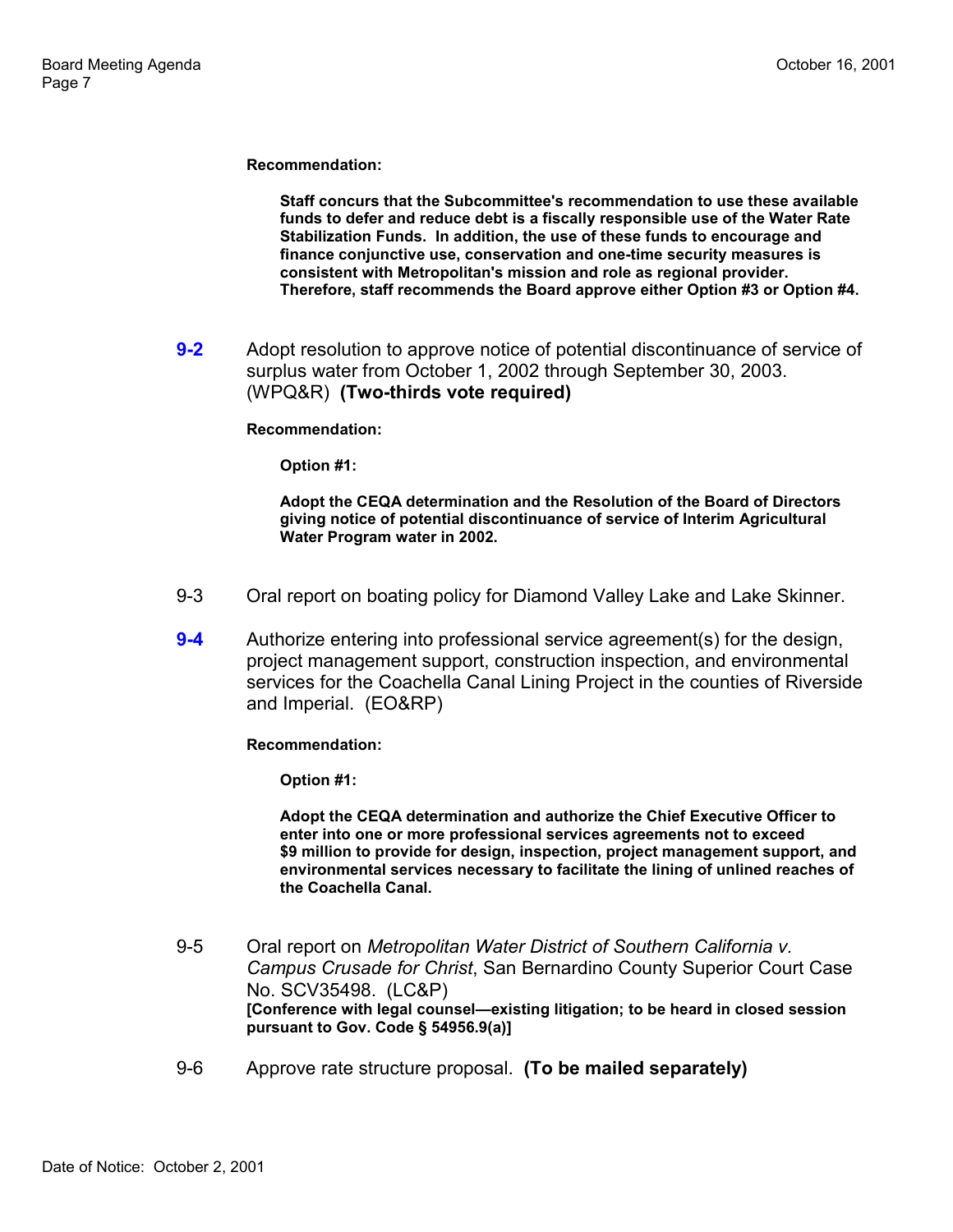**Recommendation:**

**Staff concurs that the Subcommittee's recommendation to use these available funds to defer and reduce debt is a fiscally responsible use of the Water Rate Stabilization Funds. In addition, the use of these funds to encourage and finance conjunctive use, conservation and one-time security measures is consistent with Metropolitan's mission and role as regional provider. Therefore, staff recommends the Board approve either Option #3 or Option #4.**

**9-2** Adopt resolution to approve notice of potential discontinuance of service of surplus water from October 1, 2002 through September 30, 2003. (WPQ&R) **(Two-thirds vote required)**

#### **Recommendation:**

**Option #1:**

**Adopt the CEQA determination and the Resolution of the Board of Directors giving notice of potential discontinuance of service of Interim Agricultural Water Program water in 2002.**

- 9-3 Oral report on boating policy for Diamond Valley Lake and Lake Skinner.
- **9-4** Authorize entering into professional service agreement(s) for the design, project management support, construction inspection, and environmental services for the Coachella Canal Lining Project in the counties of Riverside and Imperial. (EO&RP)

**Recommendation:**

**Option #1:**

**Adopt the CEQA determination and authorize the Chief Executive Officer to enter into one or more professional services agreements not to exceed \$9 million to provide for design, inspection, project management support, and environmental services necessary to facilitate the lining of unlined reaches of the Coachella Canal.**

- 9-5 Oral report on *Metropolitan Water District of Southern California v. Campus Crusade for Christ*, San Bernardino County Superior Court Case No. SCV35498. (LC&P) [Conference with legal counsel-existing litigation; to be heard in closed session **pursuant to Gov. Code ß 54956.9(a)]**
- 9-6 Approve rate structure proposal. **(To be mailed separately)**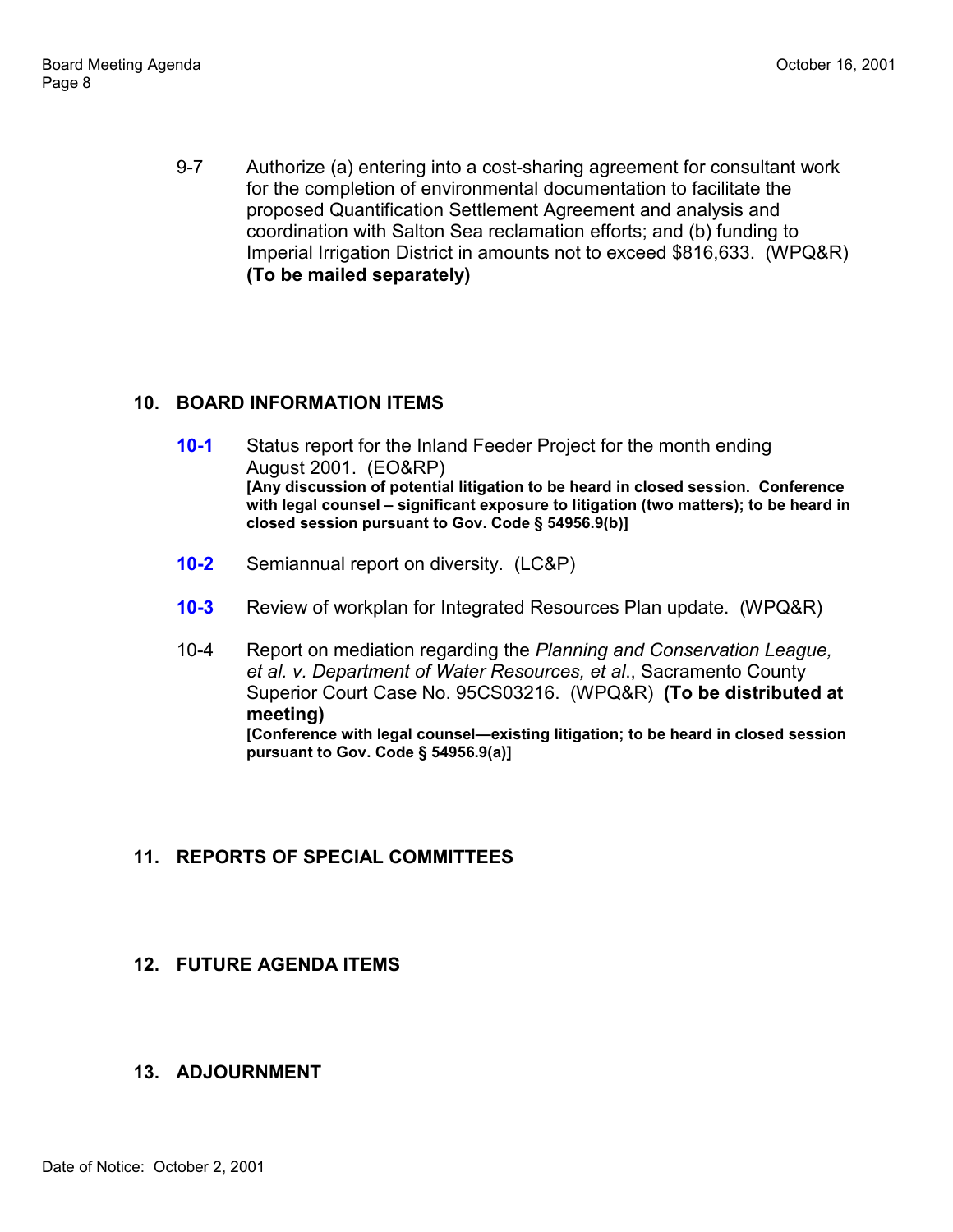9-7 Authorize (a) entering into a cost-sharing agreement for consultant work for the completion of environmental documentation to facilitate the proposed Quantification Settlement Agreement and analysis and coordination with Salton Sea reclamation efforts; and (b) funding to Imperial Irrigation District in amounts not to exceed \$816,633. (WPQ&R) **(To be mailed separately)**

# **10. BOARD INFORMATION ITEMS**

- **10-1** Status report for the Inland Feeder Project for the month ending August 2001. (EO&RP) **[Any discussion of potential litigation to be heard in closed session. Conference** with legal counsel – significant exposure to litigation (two matters); to be heard in **closed session pursuant to Gov. Code ß 54956.9(b)]**
- **10-2** Semiannual report on diversity. (LC&P)
- **10-3** Review of workplan for Integrated Resources Plan update. (WPQ&R)
- 10-4 Report on mediation regarding the *Planning and Conservation League, et al. v. Department of Water Resources, et al*., Sacramento County Superior Court Case No. 95CS03216. (WPQ&R) **(To be distributed at meeting) [Conference with legal counsel—existing litigation; to be heard in closed session pursuant to Gov. Code ß 54956.9(a)]**

# **11. REPORTS OF SPECIAL COMMITTEES**

# **12. FUTURE AGENDA ITEMS**

# **13. ADJOURNMENT**